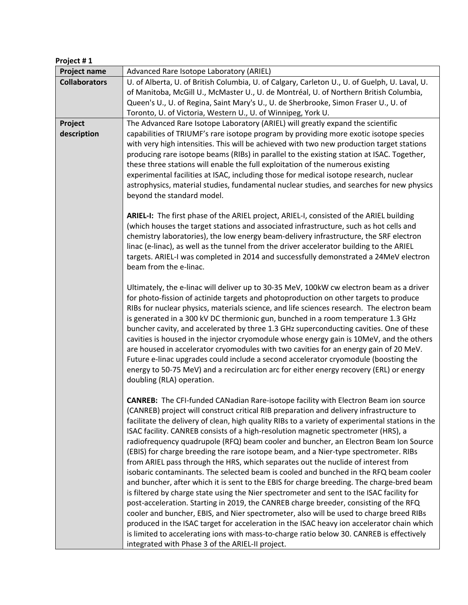| Project #1           |                                                                                                                                                                                     |
|----------------------|-------------------------------------------------------------------------------------------------------------------------------------------------------------------------------------|
| <b>Project name</b>  | Advanced Rare Isotope Laboratory (ARIEL)                                                                                                                                            |
| <b>Collaborators</b> | U. of Alberta, U. of British Columbia, U. of Calgary, Carleton U., U. of Guelph, U. Laval, U.                                                                                       |
|                      | of Manitoba, McGill U., McMaster U., U. de Montréal, U. of Northern British Columbia,                                                                                               |
|                      | Queen's U., U. of Regina, Saint Mary's U., U. de Sherbrooke, Simon Fraser U., U. of                                                                                                 |
|                      | Toronto, U. of Victoria, Western U., U. of Winnipeg, York U.                                                                                                                        |
| Project              | The Advanced Rare Isotope Laboratory (ARIEL) will greatly expand the scientific                                                                                                     |
| description          | capabilities of TRIUMF's rare isotope program by providing more exotic isotope species                                                                                              |
|                      | with very high intensities. This will be achieved with two new production target stations                                                                                           |
|                      | producing rare isotope beams (RIBs) in parallel to the existing station at ISAC. Together,<br>these three stations will enable the full exploitation of the numerous existing       |
|                      | experimental facilities at ISAC, including those for medical isotope research, nuclear                                                                                              |
|                      | astrophysics, material studies, fundamental nuclear studies, and searches for new physics                                                                                           |
|                      | beyond the standard model.                                                                                                                                                          |
|                      |                                                                                                                                                                                     |
|                      | ARIEL-I: The first phase of the ARIEL project, ARIEL-I, consisted of the ARIEL building                                                                                             |
|                      | (which houses the target stations and associated infrastructure, such as hot cells and                                                                                              |
|                      | chemistry laboratories), the low energy beam-delivery infrastructure, the SRF electron                                                                                              |
|                      | linac (e-linac), as well as the tunnel from the driver accelerator building to the ARIEL                                                                                            |
|                      | targets. ARIEL-I was completed in 2014 and successfully demonstrated a 24MeV electron                                                                                               |
|                      | beam from the e-linac.                                                                                                                                                              |
|                      |                                                                                                                                                                                     |
|                      | Ultimately, the e-linac will deliver up to 30-35 MeV, 100kW cw electron beam as a driver                                                                                            |
|                      | for photo-fission of actinide targets and photoproduction on other targets to produce<br>RIBs for nuclear physics, materials science, and life sciences research. The electron beam |
|                      | is generated in a 300 kV DC thermionic gun, bunched in a room temperature 1.3 GHz                                                                                                   |
|                      | buncher cavity, and accelerated by three 1.3 GHz superconducting cavities. One of these                                                                                             |
|                      | cavities is housed in the injector cryomodule whose energy gain is 10MeV, and the others                                                                                            |
|                      | are housed in accelerator cryomodules with two cavities for an energy gain of 20 MeV.                                                                                               |
|                      | Future e-linac upgrades could include a second accelerator cryomodule (boosting the                                                                                                 |
|                      | energy to 50-75 MeV) and a recirculation arc for either energy recovery (ERL) or energy                                                                                             |
|                      | doubling (RLA) operation.                                                                                                                                                           |
|                      |                                                                                                                                                                                     |
|                      | CANREB: The CFI-funded CANadian Rare-isotope facility with Electron Beam ion source                                                                                                 |
|                      | (CANREB) project will construct critical RIB preparation and delivery infrastructure to                                                                                             |
|                      | facilitate the delivery of clean, high quality RIBs to a variety of experimental stations in the                                                                                    |
|                      | ISAC facility. CANREB consists of a high-resolution magnetic spectrometer (HRS), a                                                                                                  |
|                      | radiofrequency quadrupole (RFQ) beam cooler and buncher, an Electron Beam Ion Source<br>(EBIS) for charge breeding the rare isotope beam, and a Nier-type spectrometer. RIBs        |
|                      | from ARIEL pass through the HRS, which separates out the nuclide of interest from                                                                                                   |
|                      | isobaric contaminants. The selected beam is cooled and bunched in the RFQ beam cooler                                                                                               |
|                      | and buncher, after which it is sent to the EBIS for charge breeding. The charge-bred beam                                                                                           |
|                      | is filtered by charge state using the Nier spectrometer and sent to the ISAC facility for                                                                                           |
|                      | post-acceleration. Starting in 2019, the CANREB charge breeder, consisting of the RFQ                                                                                               |
|                      | cooler and buncher, EBIS, and Nier spectrometer, also will be used to charge breed RIBs                                                                                             |
|                      | produced in the ISAC target for acceleration in the ISAC heavy ion accelerator chain which                                                                                          |
|                      | is limited to accelerating ions with mass-to-charge ratio below 30. CANREB is effectively                                                                                           |
|                      | integrated with Phase 3 of the ARIEL-II project.                                                                                                                                    |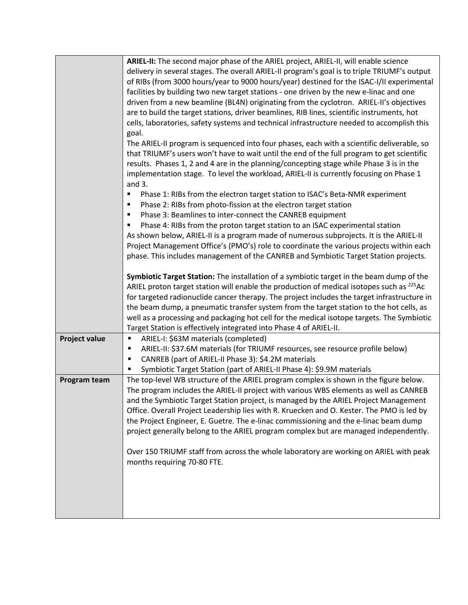|                      | ARIEL-II: The second major phase of the ARIEL project, ARIEL-II, will enable science                 |
|----------------------|------------------------------------------------------------------------------------------------------|
|                      | delivery in several stages. The overall ARIEL-II program's goal is to triple TRIUMF's output         |
|                      | of RIBs (from 3000 hours/year to 9000 hours/year) destined for the ISAC-I/II experimental            |
|                      | facilities by building two new target stations - one driven by the new e-linac and one               |
|                      | driven from a new beamline (BL4N) originating from the cyclotron. ARIEL-II's objectives              |
|                      | are to build the target stations, driver beamlines, RIB lines, scientific instruments, hot           |
|                      | cells, laboratories, safety systems and technical infrastructure needed to accomplish this           |
|                      | goal.<br>The ARIEL-II program is sequenced into four phases, each with a scientific deliverable, so  |
|                      | that TRIUMF's users won't have to wait until the end of the full program to get scientific           |
|                      | results. Phases 1, 2 and 4 are in the planning/concepting stage while Phase 3 is in the              |
|                      | implementation stage. To level the workload, ARIEL-II is currently focusing on Phase 1               |
|                      | and $3.$                                                                                             |
|                      | Phase 1: RIBs from the electron target station to ISAC's Beta-NMR experiment<br>п                    |
|                      | Phase 2: RIBs from photo-fission at the electron target station<br>$\blacksquare$                    |
|                      | Phase 3: Beamlines to inter-connect the CANREB equipment<br>$\blacksquare$                           |
|                      | Phase 4: RIBs from the proton target station to an ISAC experimental station                         |
|                      | As shown below, ARIEL-II is a program made of numerous subprojects. It is the ARIEL-II               |
|                      | Project Management Office's (PMO's) role to coordinate the various projects within each              |
|                      | phase. This includes management of the CANREB and Symbiotic Target Station projects.                 |
|                      | Symbiotic Target Station: The installation of a symbiotic target in the beam dump of the             |
|                      | ARIEL proton target station will enable the production of medical isotopes such as <sup>225</sup> Ac |
|                      | for targeted radionuclide cancer therapy. The project includes the target infrastructure in          |
|                      | the beam dump, a pneumatic transfer system from the target station to the hot cells, as              |
|                      | well as a processing and packaging hot cell for the medical isotope targets. The Symbiotic           |
|                      | Target Station is effectively integrated into Phase 4 of ARIEL-II.                                   |
| <b>Project value</b> | ARIEL-I: \$63M materials (completed)<br>$\blacksquare$                                               |
|                      | ARIEL-II: \$37.6M materials (for TRIUMF resources, see resource profile below)<br>٠                  |
|                      | CANREB (part of ARIEL-II Phase 3): \$4.2M materials<br>٠                                             |
|                      | Symbiotic Target Station (part of ARIEL-II Phase 4): \$9.9M materials                                |
| Program team         | The top-level WB structure of the ARIEL program complex is shown in the figure below.                |
|                      | The program includes the ARIEL-II project with various WBS elements as well as CANREB                |
|                      | and the Symbiotic Target Station project, is managed by the ARIEL Project Management                 |
|                      | Office. Overall Project Leadership lies with R. Kruecken and O. Kester. The PMO is led by            |
|                      | the Project Engineer, E. Guetre. The e-linac commissioning and the e-linac beam dump                 |
|                      | project generally belong to the ARIEL program complex but are managed independently.                 |
|                      | Over 150 TRIUMF staff from across the whole laboratory are working on ARIEL with peak                |
|                      | months requiring 70-80 FTE.                                                                          |
|                      |                                                                                                      |
|                      |                                                                                                      |
|                      |                                                                                                      |
|                      |                                                                                                      |
|                      |                                                                                                      |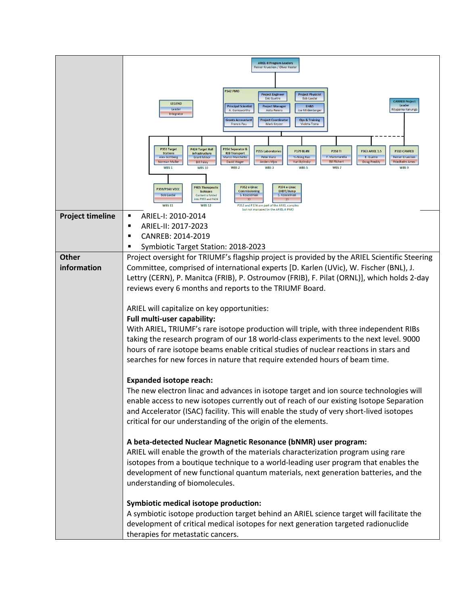|                         | <b>ARIEL-II Program Leaders</b>                                                                                                                                                                                                                                                                                                                                                                                                                                                                                                                                         |  |
|-------------------------|-------------------------------------------------------------------------------------------------------------------------------------------------------------------------------------------------------------------------------------------------------------------------------------------------------------------------------------------------------------------------------------------------------------------------------------------------------------------------------------------------------------------------------------------------------------------------|--|
|                         | Reiner Kruecken / Oliver Kester                                                                                                                                                                                                                                                                                                                                                                                                                                                                                                                                         |  |
|                         |                                                                                                                                                                                                                                                                                                                                                                                                                                                                                                                                                                         |  |
|                         | <b>P342 PMO</b><br><b>Project Engineer</b><br><b>Project Physicist</b><br><b>Eric Guetre</b><br><b>Bob Laxdal</b><br><b>CANREB Project</b>                                                                                                                                                                                                                                                                                                                                                                                                                              |  |
|                         | <b>LEGEND</b><br>Leader<br><b>Principal Scientist</b><br><b>FH&amp;S</b><br><b>Project Manager</b><br>Leader<br>Rituparna Kanungo<br>A. Garnsworthy<br>Asita Perera<br>Joe Mildenberger                                                                                                                                                                                                                                                                                                                                                                                 |  |
|                         | Integrator<br><b>Grants Accountant</b><br><b>Project Coordinator</b><br><b>Ops &amp; Training</b><br><b>Francis Pau</b><br>Mark Keyzer<br>Violeta Toma                                                                                                                                                                                                                                                                                                                                                                                                                  |  |
|                         |                                                                                                                                                                                                                                                                                                                                                                                                                                                                                                                                                                         |  |
|                         |                                                                                                                                                                                                                                                                                                                                                                                                                                                                                                                                                                         |  |
|                         | P353 Target<br>P354 Separator &<br><b>P424 Target Hall</b><br><b>P355 Laboratories</b><br><b>P179 BL4N</b><br><b>P363 ARIEL 1.5</b><br><b>P310 CANREB</b><br><b>P358 TI</b><br><b>RIB Transport</b><br><b>Stations</b><br>Infrastructure<br>F. Mammarella<br>Marco Marchetto<br>Peter Kunz<br><b>Yi-Nong Rao</b><br>E. Guetre<br><b>Reiner Kruecken</b><br><b>Alex Gottberg</b><br><b>Grant Minor</b><br><b>Bill Richert</b><br>Doug Preddy<br>Norman Muller<br><b>Bill Paley</b><br><b>David Wager</b><br><b>Anders Mjos</b><br>Yuri Bylinsky<br><b>Friedhelm Ames</b> |  |
|                         | WBS <sub>3</sub><br>WBS <sub>5</sub><br>WBS <sub>1</sub><br><b>WBS 10</b><br>WBS <sub>2</sub><br>WBS 7<br>WBS 9                                                                                                                                                                                                                                                                                                                                                                                                                                                         |  |
|                         | P352 e-Linac<br>P374 e-Linac<br><b>P405 Therapeutic</b><br>P359/P360 VECC                                                                                                                                                                                                                                                                                                                                                                                                                                                                                               |  |
|                         | EHDT/dump<br><b>Commissioning</b><br><b>Isotopes</b><br><b>Bob Laxdal</b><br>Content is folded<br>S. Koscielniak<br>S. Koscielniak<br>into P353 and P424<br>22<br><b>WBS 11</b><br><b>WBS 12</b><br>P352 and P374 are part of the ARIEL complex                                                                                                                                                                                                                                                                                                                         |  |
| <b>Project timeline</b> | but not managed by the ARIEL-II PM<br>ARIEL-I: 2010-2014<br>٠                                                                                                                                                                                                                                                                                                                                                                                                                                                                                                           |  |
|                         | ARIEL-II: 2017-2023<br>$\blacksquare$                                                                                                                                                                                                                                                                                                                                                                                                                                                                                                                                   |  |
|                         | CANREB: 2014-2019<br>п                                                                                                                                                                                                                                                                                                                                                                                                                                                                                                                                                  |  |
|                         | Symbiotic Target Station: 2018-2023<br>п                                                                                                                                                                                                                                                                                                                                                                                                                                                                                                                                |  |
| <b>Other</b>            | Project oversight for TRIUMF's flagship project is provided by the ARIEL Scientific Steering                                                                                                                                                                                                                                                                                                                                                                                                                                                                            |  |
| information             | Committee, comprised of international experts [D. Karlen (UVic), W. Fischer (BNL), J.                                                                                                                                                                                                                                                                                                                                                                                                                                                                                   |  |
|                         | Lettry (CERN), P. Manitca (FRIB), P. Ostroumov (FRIB), F. Pilat (ORNL)], which holds 2-day<br>reviews every 6 months and reports to the TRIUMF Board.                                                                                                                                                                                                                                                                                                                                                                                                                   |  |
|                         |                                                                                                                                                                                                                                                                                                                                                                                                                                                                                                                                                                         |  |
|                         | ARIEL will capitalize on key opportunities:                                                                                                                                                                                                                                                                                                                                                                                                                                                                                                                             |  |
|                         | Full multi-user capability:                                                                                                                                                                                                                                                                                                                                                                                                                                                                                                                                             |  |
|                         | With ARIEL, TRIUMF's rare isotope production will triple, with three independent RIBs                                                                                                                                                                                                                                                                                                                                                                                                                                                                                   |  |
|                         | taking the research program of our 18 world-class experiments to the next level. 9000                                                                                                                                                                                                                                                                                                                                                                                                                                                                                   |  |
|                         | hours of rare isotope beams enable critical studies of nuclear reactions in stars and                                                                                                                                                                                                                                                                                                                                                                                                                                                                                   |  |
|                         | searches for new forces in nature that require extended hours of beam time.                                                                                                                                                                                                                                                                                                                                                                                                                                                                                             |  |
|                         | <b>Expanded isotope reach:</b>                                                                                                                                                                                                                                                                                                                                                                                                                                                                                                                                          |  |
|                         | The new electron linac and advances in isotope target and ion source technologies will                                                                                                                                                                                                                                                                                                                                                                                                                                                                                  |  |
|                         | enable access to new isotopes currently out of reach of our existing Isotope Separation                                                                                                                                                                                                                                                                                                                                                                                                                                                                                 |  |
|                         | and Accelerator (ISAC) facility. This will enable the study of very short-lived isotopes                                                                                                                                                                                                                                                                                                                                                                                                                                                                                |  |
|                         | critical for our understanding of the origin of the elements.                                                                                                                                                                                                                                                                                                                                                                                                                                                                                                           |  |
|                         | A beta-detected Nuclear Magnetic Resonance (bNMR) user program:                                                                                                                                                                                                                                                                                                                                                                                                                                                                                                         |  |
|                         | ARIEL will enable the growth of the materials characterization program using rare                                                                                                                                                                                                                                                                                                                                                                                                                                                                                       |  |
|                         | isotopes from a boutique technique to a world-leading user program that enables the                                                                                                                                                                                                                                                                                                                                                                                                                                                                                     |  |
|                         | development of new functional quantum materials, next generation batteries, and the                                                                                                                                                                                                                                                                                                                                                                                                                                                                                     |  |
|                         | understanding of biomolecules.                                                                                                                                                                                                                                                                                                                                                                                                                                                                                                                                          |  |
|                         | <b>Symbiotic medical isotope production:</b>                                                                                                                                                                                                                                                                                                                                                                                                                                                                                                                            |  |
|                         | A symbiotic isotope production target behind an ARIEL science target will facilitate the                                                                                                                                                                                                                                                                                                                                                                                                                                                                                |  |
|                         | development of critical medical isotopes for next generation targeted radionuclide                                                                                                                                                                                                                                                                                                                                                                                                                                                                                      |  |
|                         | therapies for metastatic cancers.                                                                                                                                                                                                                                                                                                                                                                                                                                                                                                                                       |  |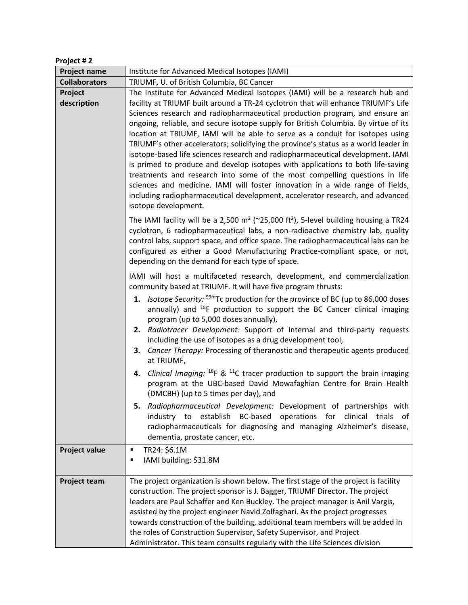| Project #2             |                                                                                                                                                                                                                                                                                                                                                                                                                                                                                                                                                                                                                                                                                                                                                                                                                                                                                                                                                                |
|------------------------|----------------------------------------------------------------------------------------------------------------------------------------------------------------------------------------------------------------------------------------------------------------------------------------------------------------------------------------------------------------------------------------------------------------------------------------------------------------------------------------------------------------------------------------------------------------------------------------------------------------------------------------------------------------------------------------------------------------------------------------------------------------------------------------------------------------------------------------------------------------------------------------------------------------------------------------------------------------|
| <b>Project name</b>    | Institute for Advanced Medical Isotopes (IAMI)                                                                                                                                                                                                                                                                                                                                                                                                                                                                                                                                                                                                                                                                                                                                                                                                                                                                                                                 |
| <b>Collaborators</b>   | TRIUMF, U. of British Columbia, BC Cancer                                                                                                                                                                                                                                                                                                                                                                                                                                                                                                                                                                                                                                                                                                                                                                                                                                                                                                                      |
| Project<br>description | The Institute for Advanced Medical Isotopes (IAMI) will be a research hub and<br>facility at TRIUMF built around a TR-24 cyclotron that will enhance TRIUMF's Life<br>Sciences research and radiopharmaceutical production program, and ensure an<br>ongoing, reliable, and secure isotope supply for British Columbia. By virtue of its<br>location at TRIUMF, IAMI will be able to serve as a conduit for isotopes using<br>TRIUMF's other accelerators; solidifying the province's status as a world leader in<br>isotope-based life sciences research and radiopharmaceutical development. IAMI<br>is primed to produce and develop isotopes with applications to both life-saving<br>treatments and research into some of the most compelling questions in life<br>sciences and medicine. IAMI will foster innovation in a wide range of fields,<br>including radiopharmaceutical development, accelerator research, and advanced<br>isotope development. |
|                        | The IAMI facility will be a 2,500 $m^2$ (~25,000 ft <sup>2</sup> ), 5-level building housing a TR24<br>cyclotron, 6 radiopharmaceutical labs, a non-radioactive chemistry lab, quality<br>control labs, support space, and office space. The radiopharmaceutical labs can be<br>configured as either a Good Manufacturing Practice-compliant space, or not,<br>depending on the demand for each type of space.                                                                                                                                                                                                                                                                                                                                                                                                                                                                                                                                                 |
|                        | IAMI will host a multifaceted research, development, and commercialization<br>community based at TRIUMF. It will have five program thrusts:<br>1. <i>Isotope Security:</i> $99m$ Tc production for the province of BC (up to 86,000 doses<br>annually) and $^{18}F$ production to support the BC Cancer clinical imaging<br>program (up to 5,000 doses annually),<br>2. Radiotracer Development: Support of internal and third-party requests<br>including the use of isotopes as a drug development tool,<br>3. Cancer Therapy: Processing of theranostic and therapeutic agents produced<br>at TRIUMF,                                                                                                                                                                                                                                                                                                                                                       |
|                        | 4. Clinical Imaging: $^{18}F$ & $^{11}C$ tracer production to support the brain imaging<br>program at the UBC-based David Mowafaghian Centre for Brain Health<br>(DMCBH) (up to 5 times per day), and<br>5. Radiopharmaceutical Development: Development of partnerships with                                                                                                                                                                                                                                                                                                                                                                                                                                                                                                                                                                                                                                                                                  |
|                        | industry to establish BC-based operations for clinical trials<br>0f<br>radiopharmaceuticals for diagnosing and managing Alzheimer's disease,<br>dementia, prostate cancer, etc.                                                                                                                                                                                                                                                                                                                                                                                                                                                                                                                                                                                                                                                                                                                                                                                |
| <b>Project value</b>   | TR24: \$6.1M<br>$\blacksquare$<br>IAMI building: \$31.8M<br>٠                                                                                                                                                                                                                                                                                                                                                                                                                                                                                                                                                                                                                                                                                                                                                                                                                                                                                                  |
| <b>Project team</b>    | The project organization is shown below. The first stage of the project is facility<br>construction. The project sponsor is J. Bagger, TRIUMF Director. The project<br>leaders are Paul Schaffer and Ken Buckley. The project manager is Anil Vargis,<br>assisted by the project engineer Navid Zolfaghari. As the project progresses<br>towards construction of the building, additional team members will be added in<br>the roles of Construction Supervisor, Safety Supervisor, and Project<br>Administrator. This team consults regularly with the Life Sciences division                                                                                                                                                                                                                                                                                                                                                                                 |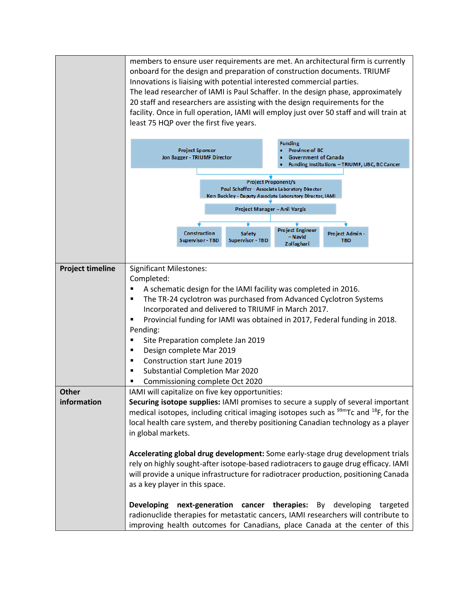|                         | onboard for the design and preparation of construction documents. TRIUMF<br>Innovations is liaising with potential interested commercial parties.<br>20 staff and researchers are assisting with the design requirements for the<br>least 75 HQP over the first five years.                                                                                     | members to ensure user requirements are met. An architectural firm is currently<br>The lead researcher of IAMI is Paul Schaffer. In the design phase, approximately<br>facility. Once in full operation, IAMI will employ just over 50 staff and will train at                        |
|-------------------------|-----------------------------------------------------------------------------------------------------------------------------------------------------------------------------------------------------------------------------------------------------------------------------------------------------------------------------------------------------------------|---------------------------------------------------------------------------------------------------------------------------------------------------------------------------------------------------------------------------------------------------------------------------------------|
|                         | <b>Project Sponsor</b><br>Jon Bagger - TRIUMF Director                                                                                                                                                                                                                                                                                                          | <b>Funding</b><br><b>Province of BC</b><br><b>Government of Canada</b><br>Funding Institutions - TRIUMF, UBC, BC Cancer                                                                                                                                                               |
|                         |                                                                                                                                                                                                                                                                                                                                                                 | <b>Project Proponent/s</b><br>Paul Schaffer - Associate Laboratory Director<br>Ken Buckley - Deputy Associate Laboratory Director, IAMI                                                                                                                                               |
|                         |                                                                                                                                                                                                                                                                                                                                                                 | Project Manager - Anil Vargis                                                                                                                                                                                                                                                         |
|                         | <b>Construction</b><br>Safety<br>Supervisor - TBD<br>Supervisor - TBD                                                                                                                                                                                                                                                                                           | Project Engineer<br>Project Admin -<br>– Navid<br><b>TBD</b><br>Zolfaghari                                                                                                                                                                                                            |
| <b>Project timeline</b> | <b>Significant Milestones:</b><br>Completed:<br>A schematic design for the IAMI facility was completed in 2016.<br>Incorporated and delivered to TRIUMF in March 2017.<br>Pending:<br>Site Preparation complete Jan 2019<br>Design complete Mar 2019<br>п<br>Construction start June 2019<br>Substantial Completion Mar 2020<br>Commissioning complete Oct 2020 | The TR-24 cyclotron was purchased from Advanced Cyclotron Systems<br>Provincial funding for IAMI was obtained in 2017, Federal funding in 2018.                                                                                                                                       |
| Other<br>information    | IAMI will capitalize on five key opportunities:<br>in global markets.                                                                                                                                                                                                                                                                                           | Securing isotope supplies: IAMI promises to secure a supply of several important<br>medical isotopes, including critical imaging isotopes such as <sup>99m</sup> Tc and <sup>18</sup> F, for the<br>local health care system, and thereby positioning Canadian technology as a player |
|                         | as a key player in this space.                                                                                                                                                                                                                                                                                                                                  | Accelerating global drug development: Some early-stage drug development trials<br>rely on highly sought-after isotope-based radiotracers to gauge drug efficacy. IAMI<br>will provide a unique infrastructure for radiotracer production, positioning Canada                          |
|                         | next-generation cancer therapies:<br><b>Developing</b>                                                                                                                                                                                                                                                                                                          | By developing<br>targeted<br>radionuclide therapies for metastatic cancers, IAMI researchers will contribute to<br>improving health outcomes for Canadians, place Canada at the center of this                                                                                        |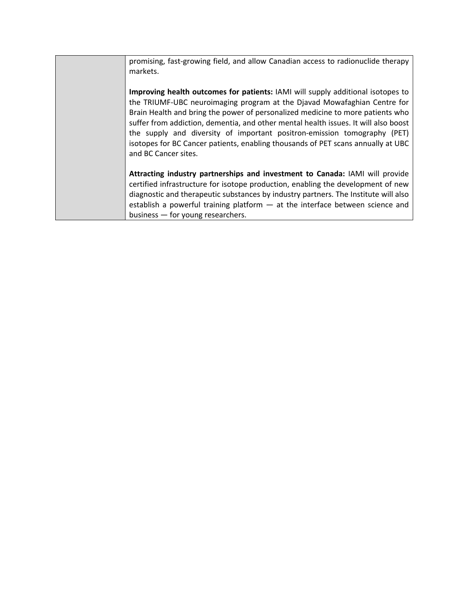| promising, fast-growing field, and allow Canadian access to radionuclide therapy<br>markets.                                                                                                                                                                                                                                                                                                                                                                                                                                 |
|------------------------------------------------------------------------------------------------------------------------------------------------------------------------------------------------------------------------------------------------------------------------------------------------------------------------------------------------------------------------------------------------------------------------------------------------------------------------------------------------------------------------------|
| Improving health outcomes for patients: IAMI will supply additional isotopes to<br>the TRIUMF-UBC neuroimaging program at the Djavad Mowafaghian Centre for<br>Brain Health and bring the power of personalized medicine to more patients who<br>suffer from addiction, dementia, and other mental health issues. It will also boost<br>the supply and diversity of important positron-emission tomography (PET)<br>isotopes for BC Cancer patients, enabling thousands of PET scans annually at UBC<br>and BC Cancer sites. |
| Attracting industry partnerships and investment to Canada: IAMI will provide<br>certified infrastructure for isotope production, enabling the development of new<br>diagnostic and therapeutic substances by industry partners. The Institute will also<br>establish a powerful training platform $-$ at the interface between science and<br>business - for young researchers.                                                                                                                                              |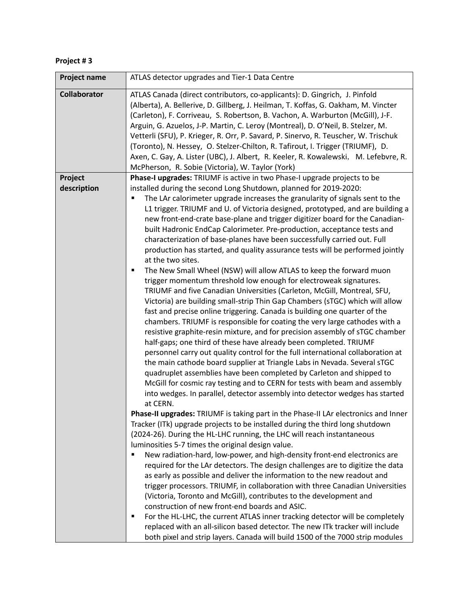| Project # 3 |  |  |
|-------------|--|--|
|-------------|--|--|

| Project name        | ATLAS detector upgrades and Tier-1 Data Centre                                                                                                                                                                                                                                                                                                                                                                                                                                                                                                                                                                                                                                                                                                                                                                                                                                                                                                                                                                                                                                                                                                                                                                                                                                                                                                                                                                                                                                                                                                                                                                                                                                                                                                                                                                                                                                                                                                                                                                                                                                                                                                                                                                                                                                                                                                 |
|---------------------|------------------------------------------------------------------------------------------------------------------------------------------------------------------------------------------------------------------------------------------------------------------------------------------------------------------------------------------------------------------------------------------------------------------------------------------------------------------------------------------------------------------------------------------------------------------------------------------------------------------------------------------------------------------------------------------------------------------------------------------------------------------------------------------------------------------------------------------------------------------------------------------------------------------------------------------------------------------------------------------------------------------------------------------------------------------------------------------------------------------------------------------------------------------------------------------------------------------------------------------------------------------------------------------------------------------------------------------------------------------------------------------------------------------------------------------------------------------------------------------------------------------------------------------------------------------------------------------------------------------------------------------------------------------------------------------------------------------------------------------------------------------------------------------------------------------------------------------------------------------------------------------------------------------------------------------------------------------------------------------------------------------------------------------------------------------------------------------------------------------------------------------------------------------------------------------------------------------------------------------------------------------------------------------------------------------------------------------------|
| <b>Collaborator</b> | ATLAS Canada (direct contributors, co-applicants): D. Gingrich, J. Pinfold<br>(Alberta), A. Bellerive, D. Gillberg, J. Heilman, T. Koffas, G. Oakham, M. Vincter<br>(Carleton), F. Corriveau, S. Robertson, B. Vachon, A. Warburton (McGill), J-F.<br>Arguin, G. Azuelos, J-P. Martin, C. Leroy (Montreal), D. O'Neil, B. Stelzer, M.<br>Vetterli (SFU), P. Krieger, R. Orr, P. Savard, P. Sinervo, R. Teuscher, W. Trischuk<br>(Toronto), N. Hessey, O. Stelzer-Chilton, R. Tafirout, I. Trigger (TRIUMF), D.<br>Axen, C. Gay, A. Lister (UBC), J. Albert, R. Keeler, R. Kowalewski, M. Lefebvre, R.<br>McPherson, R. Sobie (Victoria), W. Taylor (York)                                                                                                                                                                                                                                                                                                                                                                                                                                                                                                                                                                                                                                                                                                                                                                                                                                                                                                                                                                                                                                                                                                                                                                                                                                                                                                                                                                                                                                                                                                                                                                                                                                                                                      |
| Project             | Phase-I upgrades: TRIUMF is active in two Phase-I upgrade projects to be                                                                                                                                                                                                                                                                                                                                                                                                                                                                                                                                                                                                                                                                                                                                                                                                                                                                                                                                                                                                                                                                                                                                                                                                                                                                                                                                                                                                                                                                                                                                                                                                                                                                                                                                                                                                                                                                                                                                                                                                                                                                                                                                                                                                                                                                       |
| description         | installed during the second Long Shutdown, planned for 2019-2020:<br>The LAr calorimeter upgrade increases the granularity of signals sent to the<br>٠<br>L1 trigger. TRIUMF and U. of Victoria designed, prototyped, and are building a<br>new front-end-crate base-plane and trigger digitizer board for the Canadian-<br>built Hadronic EndCap Calorimeter. Pre-production, acceptance tests and<br>characterization of base-planes have been successfully carried out. Full<br>production has started, and quality assurance tests will be performed jointly<br>at the two sites.<br>The New Small Wheel (NSW) will allow ATLAS to keep the forward muon<br>٠<br>trigger momentum threshold low enough for electroweak signatures.<br>TRIUMF and five Canadian Universities (Carleton, McGill, Montreal, SFU,<br>Victoria) are building small-strip Thin Gap Chambers (sTGC) which will allow<br>fast and precise online triggering. Canada is building one quarter of the<br>chambers. TRIUMF is responsible for coating the very large cathodes with a<br>resistive graphite-resin mixture, and for precision assembly of sTGC chamber<br>half-gaps; one third of these have already been completed. TRIUMF<br>personnel carry out quality control for the full international collaboration at<br>the main cathode board supplier at Triangle Labs in Nevada. Several sTGC<br>quadruplet assemblies have been completed by Carleton and shipped to<br>McGill for cosmic ray testing and to CERN for tests with beam and assembly<br>into wedges. In parallel, detector assembly into detector wedges has started<br>at CERN.<br>Phase-II upgrades: TRIUMF is taking part in the Phase-II LAr electronics and Inner<br>Tracker (ITk) upgrade projects to be installed during the third long shutdown<br>(2024-26). During the HL-LHC running, the LHC will reach instantaneous<br>luminosities 5-7 times the original design value.<br>New radiation-hard, low-power, and high-density front-end electronics are<br>٠<br>required for the LAr detectors. The design challenges are to digitize the data<br>as early as possible and deliver the information to the new readout and<br>trigger processors. TRIUMF, in collaboration with three Canadian Universities<br>(Victoria, Toronto and McGill), contributes to the development and |
|                     | construction of new front-end boards and ASIC.<br>For the HL-LHC, the current ATLAS inner tracking detector will be completely<br>٠<br>replaced with an all-silicon based detector. The new ITk tracker will include<br>both pixel and strip layers. Canada will build 1500 of the 7000 strip modules                                                                                                                                                                                                                                                                                                                                                                                                                                                                                                                                                                                                                                                                                                                                                                                                                                                                                                                                                                                                                                                                                                                                                                                                                                                                                                                                                                                                                                                                                                                                                                                                                                                                                                                                                                                                                                                                                                                                                                                                                                          |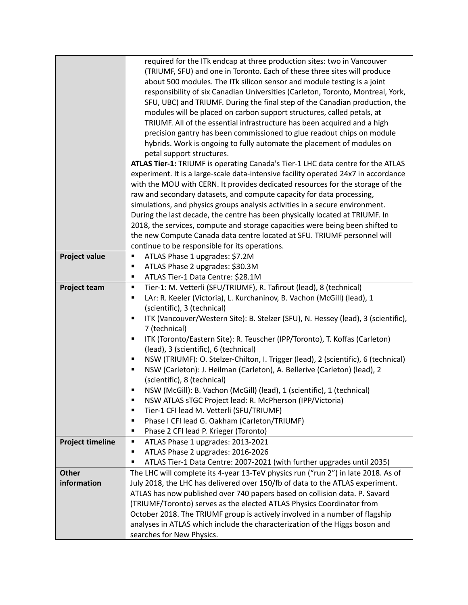|                         | required for the ITk endcap at three production sites: two in Vancouver                 |
|-------------------------|-----------------------------------------------------------------------------------------|
|                         | (TRIUMF, SFU) and one in Toronto. Each of these three sites will produce                |
|                         | about 500 modules. The ITk silicon sensor and module testing is a joint                 |
|                         | responsibility of six Canadian Universities (Carleton, Toronto, Montreal, York,         |
|                         | SFU, UBC) and TRIUMF. During the final step of the Canadian production, the             |
|                         | modules will be placed on carbon support structures, called petals, at                  |
|                         | TRIUMF. All of the essential infrastructure has been acquired and a high                |
|                         | precision gantry has been commissioned to glue readout chips on module                  |
|                         | hybrids. Work is ongoing to fully automate the placement of modules on                  |
|                         | petal support structures.                                                               |
|                         | ATLAS Tier-1: TRIUMF is operating Canada's Tier-1 LHC data centre for the ATLAS         |
|                         | experiment. It is a large-scale data-intensive facility operated 24x7 in accordance     |
|                         | with the MOU with CERN. It provides dedicated resources for the storage of the          |
|                         | raw and secondary datasets, and compute capacity for data processing,                   |
|                         | simulations, and physics groups analysis activities in a secure environment.            |
|                         | During the last decade, the centre has been physically located at TRIUMF. In            |
|                         | 2018, the services, compute and storage capacities were being been shifted to           |
|                         | the new Compute Canada data centre located at SFU. TRIUMF personnel will                |
|                         | continue to be responsible for its operations.                                          |
| <b>Project value</b>    | ATLAS Phase 1 upgrades: \$7.2M<br>$\blacksquare$                                        |
|                         | ATLAS Phase 2 upgrades: \$30.3M<br>٠                                                    |
|                         | ATLAS Tier-1 Data Centre: \$28.1M<br>٠                                                  |
| Project team            | Tier-1: M. Vetterli (SFU/TRIUMF), R. Tafirout (lead), 8 (technical)<br>٠                |
|                         | LAr: R. Keeler (Victoria), L. Kurchaninov, B. Vachon (McGill) (lead), 1<br>п            |
|                         | (scientific), 3 (technical)                                                             |
|                         | ITK (Vancouver/Western Site): B. Stelzer (SFU), N. Hessey (lead), 3 (scientific),<br>٠  |
|                         | 7 (technical)                                                                           |
|                         | ITK (Toronto/Eastern Site): R. Teuscher (IPP/Toronto), T. Koffas (Carleton)<br>٠        |
|                         | (lead), 3 (scientific), 6 (technical)                                                   |
|                         | NSW (TRIUMF): O. Stelzer-Chilton, I. Trigger (lead), 2 (scientific), 6 (technical)<br>٠ |
|                         | NSW (Carleton): J. Heilman (Carleton), A. Bellerive (Carleton) (lead), 2<br>٠           |
|                         | (scientific), 8 (technical)                                                             |
|                         | NSW (McGill): B. Vachon (McGill) (lead), 1 (scientific), 1 (technical)<br>٠             |
|                         | П<br>NSW ATLAS sTGC Project lead: R. McPherson (IPP/Victoria)                           |
|                         | Tier-1 CFI lead M. Vetterli (SFU/TRIUMF)<br>$\blacksquare$                              |
|                         | Phase I CFI lead G. Oakham (Carleton/TRIUMF)<br>٠                                       |
|                         | Phase 2 CFI lead P. Krieger (Toronto)<br>٠                                              |
| <b>Project timeline</b> | ATLAS Phase 1 upgrades: 2013-2021<br>п                                                  |
|                         | ATLAS Phase 2 upgrades: 2016-2026<br>٠                                                  |
|                         | ATLAS Tier-1 Data Centre: 2007-2021 (with further upgrades until 2035)<br>٠             |
| <b>Other</b>            | The LHC will complete its 4-year 13-TeV physics run ("run 2") in late 2018. As of       |
| information             | July 2018, the LHC has delivered over 150/fb of data to the ATLAS experiment.           |
|                         | ATLAS has now published over 740 papers based on collision data. P. Savard              |
|                         | (TRIUMF/Toronto) serves as the elected ATLAS Physics Coordinator from                   |
|                         | October 2018. The TRIUMF group is actively involved in a number of flagship             |
|                         | analyses in ATLAS which include the characterization of the Higgs boson and             |
|                         | searches for New Physics.                                                               |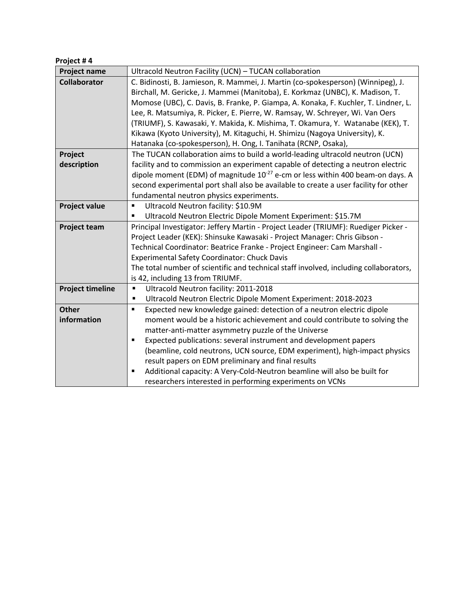## **Project # 4**

| <b>Project name</b>     | Ultracold Neutron Facility (UCN) - TUCAN collaboration                                     |
|-------------------------|--------------------------------------------------------------------------------------------|
| <b>Collaborator</b>     | C. Bidinosti, B. Jamieson, R. Mammei, J. Martin (co-spokesperson) (Winnipeg), J.           |
|                         | Birchall, M. Gericke, J. Mammei (Manitoba), E. Korkmaz (UNBC), K. Madison, T.              |
|                         | Momose (UBC), C. Davis, B. Franke, P. Giampa, A. Konaka, F. Kuchler, T. Lindner, L.        |
|                         | Lee, R. Matsumiya, R. Picker, E. Pierre, W. Ramsay, W. Schreyer, Wi. Van Oers              |
|                         | (TRIUMF), S. Kawasaki, Y. Makida, K. Mishima, T. Okamura, Y. Watanabe (KEK), T.            |
|                         | Kikawa (Kyoto University), M. Kitaguchi, H. Shimizu (Nagoya University), K.                |
|                         | Hatanaka (co-spokesperson), H. Ong, I. Tanihata (RCNP, Osaka),                             |
| Project                 | The TUCAN collaboration aims to build a world-leading ultracold neutron (UCN)              |
| description             | facility and to commission an experiment capable of detecting a neutron electric           |
|                         | dipole moment (EDM) of magnitude 10 <sup>-27</sup> e-cm or less within 400 beam-on days. A |
|                         | second experimental port shall also be available to create a user facility for other       |
|                         | fundamental neutron physics experiments.                                                   |
| <b>Project value</b>    | Ultracold Neutron facility: \$10.9M<br>$\blacksquare$                                      |
|                         | Ultracold Neutron Electric Dipole Moment Experiment: \$15.7M                               |
| <b>Project team</b>     | Principal Investigator: Jeffery Martin - Project Leader (TRIUMF): Ruediger Picker -        |
|                         | Project Leader (KEK): Shinsuke Kawasaki - Project Manager: Chris Gibson -                  |
|                         | Technical Coordinator: Beatrice Franke - Project Engineer: Cam Marshall -                  |
|                         | <b>Experimental Safety Coordinator: Chuck Davis</b>                                        |
|                         | The total number of scientific and technical staff involved, including collaborators,      |
|                         | is 42, including 13 from TRIUMF.                                                           |
| <b>Project timeline</b> | Ultracold Neutron facility: 2011-2018<br>п                                                 |
|                         | Ultracold Neutron Electric Dipole Moment Experiment: 2018-2023<br>٠                        |
| <b>Other</b>            | Expected new knowledge gained: detection of a neutron electric dipole<br>$\blacksquare$    |
| information             | moment would be a historic achievement and could contribute to solving the                 |
|                         | matter-anti-matter asymmetry puzzle of the Universe                                        |
|                         | Expected publications: several instrument and development papers<br>п                      |
|                         | (beamline, cold neutrons, UCN source, EDM experiment), high-impact physics                 |
|                         | result papers on EDM preliminary and final results                                         |
|                         | Additional capacity: A Very-Cold-Neutron beamline will also be built for<br>٠              |
|                         | researchers interested in performing experiments on VCNs                                   |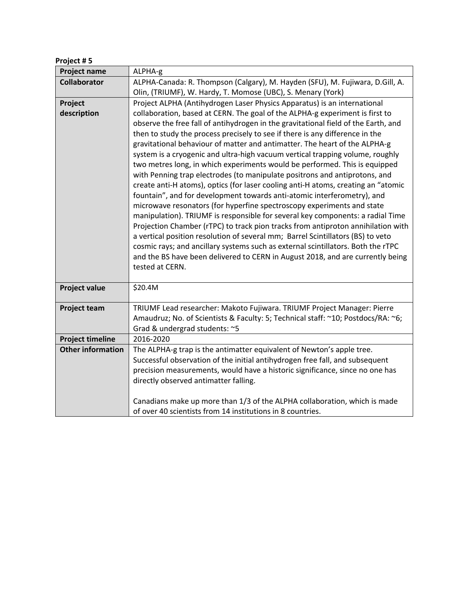| Project #5 |
|------------|
|------------|

| Project name             | ALPHA-g                                                                                           |
|--------------------------|---------------------------------------------------------------------------------------------------|
| <b>Collaborator</b>      | ALPHA-Canada: R. Thompson (Calgary), M. Hayden (SFU), M. Fujiwara, D.Gill, A.                     |
|                          | Olin, (TRIUMF), W. Hardy, T. Momose (UBC), S. Menary (York)                                       |
| Project                  | Project ALPHA (Antihydrogen Laser Physics Apparatus) is an international                          |
| description              | collaboration, based at CERN. The goal of the ALPHA-g experiment is first to                      |
|                          | observe the free fall of antihydrogen in the gravitational field of the Earth, and                |
|                          | then to study the process precisely to see if there is any difference in the                      |
|                          | gravitational behaviour of matter and antimatter. The heart of the ALPHA-g                        |
|                          | system is a cryogenic and ultra-high vacuum vertical trapping volume, roughly                     |
|                          | two metres long, in which experiments would be performed. This is equipped                        |
|                          | with Penning trap electrodes (to manipulate positrons and antiprotons, and                        |
|                          | create anti-H atoms), optics (for laser cooling anti-H atoms, creating an "atomic                 |
|                          | fountain", and for development towards anti-atomic interferometry), and                           |
|                          | microwave resonators (for hyperfine spectroscopy experiments and state                            |
|                          | manipulation). TRIUMF is responsible for several key components: a radial Time                    |
|                          | Projection Chamber (rTPC) to track pion tracks from antiproton annihilation with                  |
|                          | a vertical position resolution of several mm; Barrel Scintillators (BS) to veto                   |
|                          | cosmic rays; and ancillary systems such as external scintillators. Both the rTPC                  |
|                          | and the BS have been delivered to CERN in August 2018, and are currently being<br>tested at CERN. |
|                          |                                                                                                   |
| <b>Project value</b>     | \$20.4M                                                                                           |
|                          |                                                                                                   |
| <b>Project team</b>      | TRIUMF Lead researcher: Makoto Fujiwara. TRIUMF Project Manager: Pierre                           |
|                          | Amaudruz; No. of Scientists & Faculty: 5; Technical staff: ~10; Postdocs/RA: ~6;                  |
|                          | Grad & undergrad students: ~5                                                                     |
| <b>Project timeline</b>  | 2016-2020                                                                                         |
| <b>Other information</b> | The ALPHA-g trap is the antimatter equivalent of Newton's apple tree.                             |
|                          | Successful observation of the initial antihydrogen free fall, and subsequent                      |
|                          | precision measurements, would have a historic significance, since no one has                      |
|                          | directly observed antimatter falling.                                                             |
|                          | Canadians make up more than 1/3 of the ALPHA collaboration, which is made                         |
|                          | of over 40 scientists from 14 institutions in 8 countries.                                        |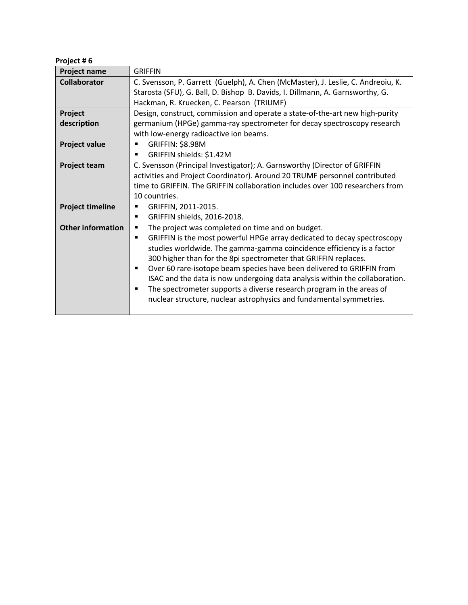| Project #6               |                                                                                                                                                                                                                                                                                                                                                                                                                                                                          |
|--------------------------|--------------------------------------------------------------------------------------------------------------------------------------------------------------------------------------------------------------------------------------------------------------------------------------------------------------------------------------------------------------------------------------------------------------------------------------------------------------------------|
| Project name             | <b>GRIFFIN</b>                                                                                                                                                                                                                                                                                                                                                                                                                                                           |
| <b>Collaborator</b>      | C. Svensson, P. Garrett (Guelph), A. Chen (McMaster), J. Leslie, C. Andreoiu, K.<br>Starosta (SFU), G. Ball, D. Bishop B. Davids, I. Dillmann, A. Garnsworthy, G.<br>Hackman, R. Kruecken, C. Pearson (TRIUMF)                                                                                                                                                                                                                                                           |
| Project                  | Design, construct, commission and operate a state-of-the-art new high-purity                                                                                                                                                                                                                                                                                                                                                                                             |
| description              | germanium (HPGe) gamma-ray spectrometer for decay spectroscopy research<br>with low-energy radioactive ion beams.                                                                                                                                                                                                                                                                                                                                                        |
| <b>Project value</b>     | <b>GRIFFIN: \$8.98M</b><br>$\blacksquare$<br>GRIFFIN shields: \$1.42M<br>$\blacksquare$                                                                                                                                                                                                                                                                                                                                                                                  |
| <b>Project team</b>      | C. Svensson (Principal Investigator); A. Garnsworthy (Director of GRIFFIN<br>activities and Project Coordinator). Around 20 TRUMF personnel contributed<br>time to GRIFFIN. The GRIFFIN collaboration includes over 100 researchers from<br>10 countries.                                                                                                                                                                                                                |
| <b>Project timeline</b>  | GRIFFIN, 2011-2015.<br>٠<br>GRIFFIN shields, 2016-2018.<br>٠                                                                                                                                                                                                                                                                                                                                                                                                             |
| <b>Other information</b> | The project was completed on time and on budget.<br>٠<br>GRIFFIN is the most powerful HPGe array dedicated to decay spectroscopy<br>$\blacksquare$<br>studies worldwide. The gamma-gamma coincidence efficiency is a factor<br>300 higher than for the 8pi spectrometer that GRIFFIN replaces.<br>Over 60 rare-isotope beam species have been delivered to GRIFFIN from<br>$\blacksquare$<br>ISAC and the data is now undergoing data analysis within the collaboration. |

§ The spectrometer supports a diverse research program in the areas of nuclear structure, nuclear astrophysics and fundamental symmetries.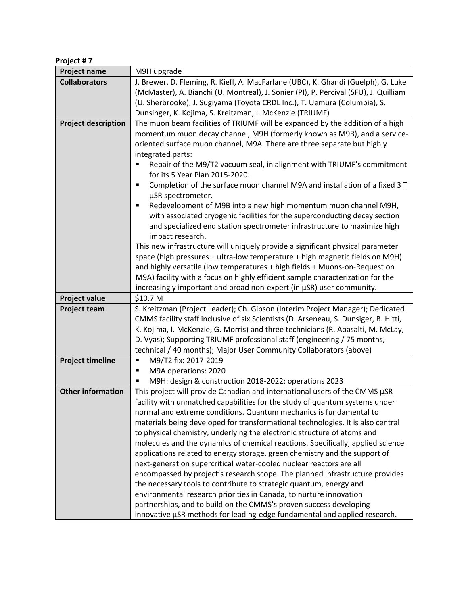| Project #7                 |                                                                                                                                                                                                                                                                                                                                                                                                                                                                                                                                                                                                                                                                                                                                                                                                                                                                                                                                                                                                                      |
|----------------------------|----------------------------------------------------------------------------------------------------------------------------------------------------------------------------------------------------------------------------------------------------------------------------------------------------------------------------------------------------------------------------------------------------------------------------------------------------------------------------------------------------------------------------------------------------------------------------------------------------------------------------------------------------------------------------------------------------------------------------------------------------------------------------------------------------------------------------------------------------------------------------------------------------------------------------------------------------------------------------------------------------------------------|
| <b>Project name</b>        | M9H upgrade                                                                                                                                                                                                                                                                                                                                                                                                                                                                                                                                                                                                                                                                                                                                                                                                                                                                                                                                                                                                          |
| <b>Collaborators</b>       | J. Brewer, D. Fleming, R. Kiefl, A. MacFarlane (UBC), K. Ghandi (Guelph), G. Luke<br>(McMaster), A. Bianchi (U. Montreal), J. Sonier (PI), P. Percival (SFU), J. Quilliam<br>(U. Sherbrooke), J. Sugiyama (Toyota CRDL Inc.), T. Uemura (Columbia), S.<br>Dunsinger, K. Kojima, S. Kreitzman, I. McKenzie (TRIUMF)                                                                                                                                                                                                                                                                                                                                                                                                                                                                                                                                                                                                                                                                                                   |
| <b>Project description</b> | The muon beam facilities of TRIUMF will be expanded by the addition of a high<br>momentum muon decay channel, M9H (formerly known as M9B), and a service-<br>oriented surface muon channel, M9A. There are three separate but highly<br>integrated parts:<br>Repair of the M9/T2 vacuum seal, in alignment with TRIUMF's commitment<br>for its 5 Year Plan 2015-2020.<br>Completion of the surface muon channel M9A and installation of a fixed 3 T<br>п<br>µSR spectrometer.<br>Redevelopment of M9B into a new high momentum muon channel M9H,<br>٠<br>with associated cryogenic facilities for the superconducting decay section<br>and specialized end station spectrometer infrastructure to maximize high<br>impact research.<br>This new infrastructure will uniquely provide a significant physical parameter                                                                                                                                                                                                |
|                            | space (high pressures + ultra-low temperature + high magnetic fields on M9H)<br>and highly versatile (low temperatures + high fields + Muons-on-Request on<br>M9A) facility with a focus on highly efficient sample characterization for the<br>increasingly important and broad non-expert (in µSR) user community.                                                                                                                                                                                                                                                                                                                                                                                                                                                                                                                                                                                                                                                                                                 |
| <b>Project value</b>       | \$10.7 M                                                                                                                                                                                                                                                                                                                                                                                                                                                                                                                                                                                                                                                                                                                                                                                                                                                                                                                                                                                                             |
| <b>Project team</b>        | S. Kreitzman (Project Leader); Ch. Gibson (Interim Project Manager); Dedicated<br>CMMS facility staff inclusive of six Scientists (D. Arseneau, S. Dunsiger, B. Hitti,<br>K. Kojima, I. McKenzie, G. Morris) and three technicians (R. Abasalti, M. McLay,<br>D. Vyas); Supporting TRIUMF professional staff (engineering / 75 months,<br>technical / 40 months); Major User Community Collaborators (above)                                                                                                                                                                                                                                                                                                                                                                                                                                                                                                                                                                                                         |
| <b>Project timeline</b>    | M9/T2 fix: 2017-2019<br>Ξ<br>M9A operations: 2020<br>Е<br>M9H: design & construction 2018-2022: operations 2023<br>п                                                                                                                                                                                                                                                                                                                                                                                                                                                                                                                                                                                                                                                                                                                                                                                                                                                                                                 |
| <b>Other information</b>   | This project will provide Canadian and international users of the CMMS µSR<br>facility with unmatched capabilities for the study of quantum systems under<br>normal and extreme conditions. Quantum mechanics is fundamental to<br>materials being developed for transformational technologies. It is also central<br>to physical chemistry, underlying the electronic structure of atoms and<br>molecules and the dynamics of chemical reactions. Specifically, applied science<br>applications related to energy storage, green chemistry and the support of<br>next-generation supercritical water-cooled nuclear reactors are all<br>encompassed by project's research scope. The planned infrastructure provides<br>the necessary tools to contribute to strategic quantum, energy and<br>environmental research priorities in Canada, to nurture innovation<br>partnerships, and to build on the CMMS's proven success developing<br>innovative µSR methods for leading-edge fundamental and applied research. |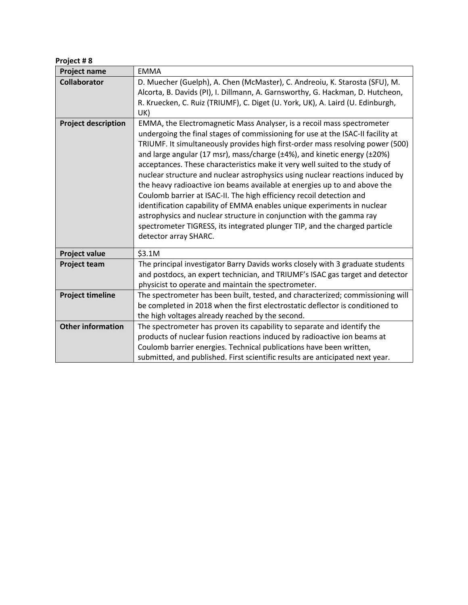| Project #8 |  |
|------------|--|
|            |  |

| Project name               | <b>EMMA</b>                                                                                                                                                                                                                                                                                                                                                                                                                                                                                                                                                                                                                                                                                                                                                                                                                                                                                            |
|----------------------------|--------------------------------------------------------------------------------------------------------------------------------------------------------------------------------------------------------------------------------------------------------------------------------------------------------------------------------------------------------------------------------------------------------------------------------------------------------------------------------------------------------------------------------------------------------------------------------------------------------------------------------------------------------------------------------------------------------------------------------------------------------------------------------------------------------------------------------------------------------------------------------------------------------|
| <b>Collaborator</b>        | D. Muecher (Guelph), A. Chen (McMaster), C. Andreoiu, K. Starosta (SFU), M.<br>Alcorta, B. Davids (PI), I. Dillmann, A. Garnsworthy, G. Hackman, D. Hutcheon,<br>R. Kruecken, C. Ruiz (TRIUMF), C. Diget (U. York, UK), A. Laird (U. Edinburgh,<br>UK)                                                                                                                                                                                                                                                                                                                                                                                                                                                                                                                                                                                                                                                 |
| <b>Project description</b> | EMMA, the Electromagnetic Mass Analyser, is a recoil mass spectrometer<br>undergoing the final stages of commissioning for use at the ISAC-II facility at<br>TRIUMF. It simultaneously provides high first-order mass resolving power (500)<br>and large angular (17 msr), mass/charge (±4%), and kinetic energy (±20%)<br>acceptances. These characteristics make it very well suited to the study of<br>nuclear structure and nuclear astrophysics using nuclear reactions induced by<br>the heavy radioactive ion beams available at energies up to and above the<br>Coulomb barrier at ISAC-II. The high efficiency recoil detection and<br>identification capability of EMMA enables unique experiments in nuclear<br>astrophysics and nuclear structure in conjunction with the gamma ray<br>spectrometer TIGRESS, its integrated plunger TIP, and the charged particle<br>detector array SHARC. |
| <b>Project value</b>       | \$3.1M                                                                                                                                                                                                                                                                                                                                                                                                                                                                                                                                                                                                                                                                                                                                                                                                                                                                                                 |
| <b>Project team</b>        | The principal investigator Barry Davids works closely with 3 graduate students<br>and postdocs, an expert technician, and TRIUMF's ISAC gas target and detector<br>physicist to operate and maintain the spectrometer.                                                                                                                                                                                                                                                                                                                                                                                                                                                                                                                                                                                                                                                                                 |
| <b>Project timeline</b>    | The spectrometer has been built, tested, and characterized; commissioning will<br>be completed in 2018 when the first electrostatic deflector is conditioned to<br>the high voltages already reached by the second.                                                                                                                                                                                                                                                                                                                                                                                                                                                                                                                                                                                                                                                                                    |
| <b>Other information</b>   | The spectrometer has proven its capability to separate and identify the<br>products of nuclear fusion reactions induced by radioactive ion beams at<br>Coulomb barrier energies. Technical publications have been written,<br>submitted, and published. First scientific results are anticipated next year.                                                                                                                                                                                                                                                                                                                                                                                                                                                                                                                                                                                            |